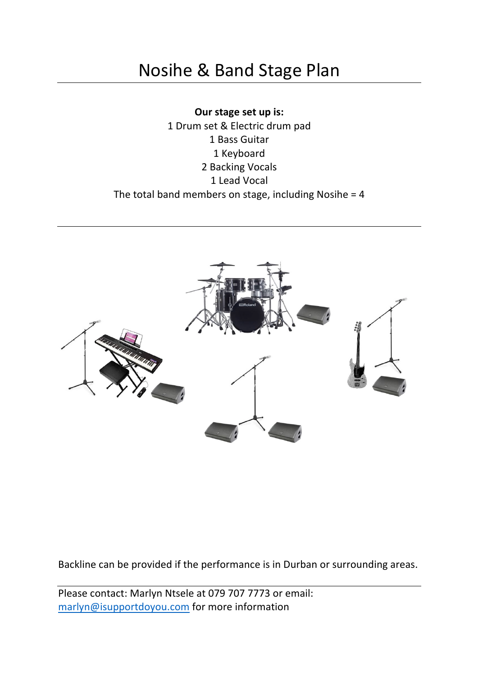# Nosihe & Band Stage Plan

**Our stage set up is:** 1 Drum set & Electric drum pad 1 Bass Guitar 1 Keyboard 2 Backing Vocals 1 Lead Vocal The total band members on stage, including Nosihe =  $4$ 



Backline can be provided if the performance is in Durban or surrounding areas.

Please contact: Marlyn Ntsele at 079 707 7773 or email: marlyn@isupportdoyou.com for more information